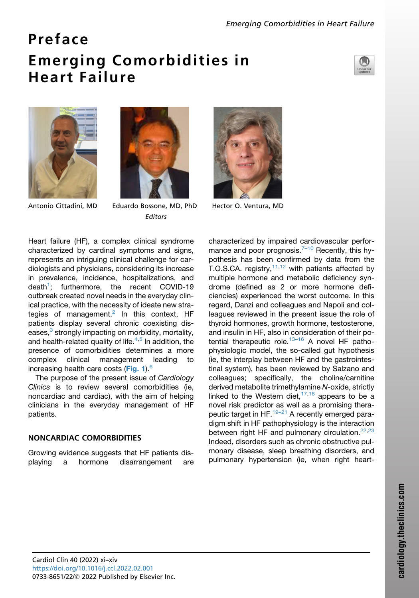## Preface Emerging Comorbidities in Heart Failure







Antonio Cittadini, MD Eduardo Bossone, MD, PhD Hector O. Ventura, MD Editors

Heart failure (HF), a complex clinical syndrome characterized by cardinal symptoms and signs, represents an intriguing clinical challenge for cardiologists and physicians, considering its increase in prevalence, incidence, hospitalizations, and death<sup>[1](#page-2-0)</sup>; furthermore, the recent COVID-19 outbreak created novel needs in the everyday clinical practice, with the necessity of ideate new strategies of management.<sup>2</sup> In this context, HF patients display several chronic coexisting diseases, $3$  strongly impacting on morbidity, mortality, and health-related quality of life. $4,5$  $4,5$  In addition, the presence of comorbidities determines a more complex clinical management leading to increasing health care costs ([Fig. 1](#page-1-0)).<sup>[6](#page-2-5)</sup>

The purpose of the present issue of *Cardiology Clinics* is to review several comorbidities (ie, noncardiac and cardiac), with the aim of helping clinicians in the everyday management of HF patients.

## NONCARDIAC COMORBIDITIES

Growing evidence suggests that HF patients displaying a hormone disarrangement are



characterized by impaired cardiovascular performance and poor prognosis. $7-10$  Recently, this hypothesis has been confirmed by data from the T.O.S.CA. registry,  $11,12$  $11,12$  with patients affected by multiple hormone and metabolic deficiency syndrome (defined as 2 or more hormone deficiencies) experienced the worst outcome. In this regard, Danzi and colleagues and Napoli and colleagues reviewed in the present issue the role of thyroid hormones, growth hormone, testosterone, and insulin in HF, also in consideration of their po-tential therapeutic role.<sup>[13–16](#page-2-9)</sup> A novel HF pathophysiologic model, the so-called gut hypothesis (ie, the interplay between HF and the gastrointestinal system), has been reviewed by Salzano and colleagues; specifically, the choline/carnitine derived metabolite trimethylamine *N*-oxide, strictly linked to the Western diet,  $17,18$  $17,18$  appears to be a novel risk predictor as well as a promising therapeutic target in HF. $19-21$  A recently emerged paradigm shift in HF pathophysiology is the interaction between right HF and pulmonary circulation. $22,23$  $22,23$ Indeed, disorders such as chronic obstructive pulmonary disease, sleep breathing disorders, and pulmonary hypertension (ie, when right heart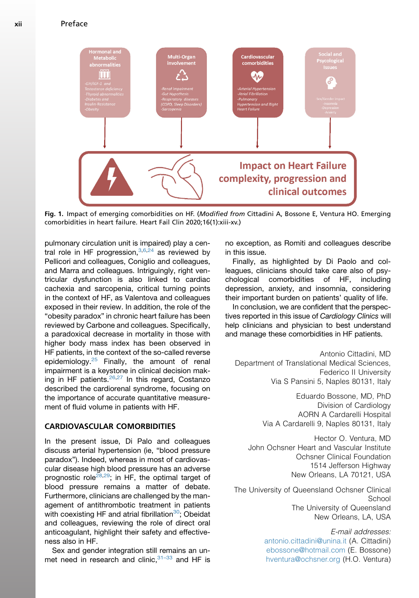<span id="page-1-0"></span>xii Preface



Fig. 1. Impact of emerging comorbidities on HF. (Modified from Cittadini A, Bossone E, Ventura HO. Emerging comorbidities in heart failure. Heart Fail Clin 2020;16(1):xiii-xv.)

pulmonary circulation unit is impaired) play a central role in HF progression,  $3,6,24$  $3,6,24$  $3,6,24$  as reviewed by Pellicori and colleagues, Coniglio and colleagues, and Marra and colleagues. Intriguingly, right ventricular dysfunction is also linked to cardiac cachexia and sarcopenia, critical turning points in the context of HF, as Valentova and colleagues exposed in their review. In addition, the role of the "obesity paradox" in chronic heart failure has been reviewed by Carbone and colleagues. Specifically, a paradoxical decrease in mortality in those with higher body mass index has been observed in HF patients, in the context of the so-called reverse epidemiology.<sup>[25](#page-2-16)</sup> Finally, the amount of renal impairment is a keystone in clinical decision mak-ing in HF patients.<sup>[26,](#page-3-0)[27](#page-3-1)</sup> In this regard, Costanzo described the cardiorenal syndrome, focusing on the importance of accurate quantitative measurement of fluid volume in patients with HF.

## CARDIOVASCULAR COMORBIDITIES

In the present issue, Di Palo and colleagues discuss arterial hypertension (ie, "blood pressure paradox"). Indeed, whereas in most of cardiovascular disease high blood pressure has an adverse prognostic role<sup>[28,](#page-3-2)[29](#page-3-3)</sup>; in HF, the optimal target of blood pressure remains a matter of debate. Furthermore, clinicians are challenged by the management of antithrombotic treatment in patients with coexisting HF and atrial fibrillation<sup>30</sup>; Obeidat and colleagues, reviewing the role of direct oral anticoagulant, highlight their safety and effectiveness also in HF.

Sex and gender integration still remains an unmet need in research and clinic,  $31-33$  and HF is no exception, as Romiti and colleagues describe in this issue.

Finally, as highlighted by Di Paolo and colleagues, clinicians should take care also of psychological comorbidities of HF, including depression, anxiety, and insomnia, considering their important burden on patients' quality of life.

In conclusion, we are confident that the perspectives reported in this issue of *Cardiology Clinics* will help clinicians and physician to best understand and manage these comorbidities in HF patients.

Antonio Cittadini, MD Department of Translational Medical Sciences, Federico II University Via S Pansini 5, Naples 80131, Italy

> Eduardo Bossone, MD, PhD Division of Cardiology AORN A Cardarelli Hospital Via A Cardarelli 9, Naples 80131, Italy

Hector O. Ventura, MD John Ochsner Heart and Vascular Institute Ochsner Clinical Foundation 1514 Jefferson Highway New Orleans, LA 70121, USA

The University of Queensland Ochsner Clinical School The University of Queensland New Orleans, LA, USA

> E-mail addresses: [antonio.cittadini@unina.it](mailto:antonio.cittadini@unina.it) (A. Cittadini) [ebossone@hotmail.com](mailto:ebossone@hotmail.com) (E. Bossone) [hventura@ochsner.org](mailto:hventura@ochsner.org) (H.O. Ventura)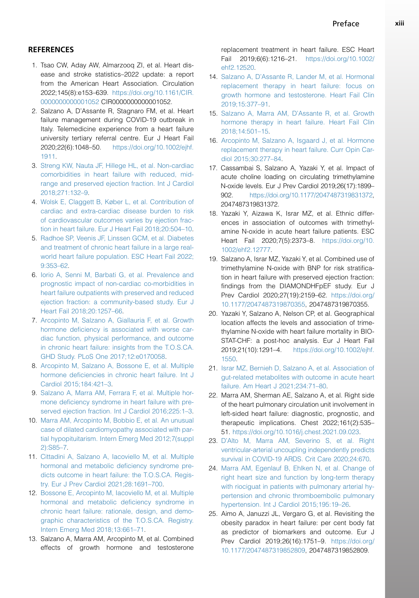## **REFERENCES**

- <span id="page-2-0"></span>1. Tsao CW, Aday AW, Almarzooq ZI, et al. Heart disease and stroke statistics–2022 update: a report from the American Heart Association. Circulation 2022;145(8):e153–639. [https://doi.org/10.1161/CIR.](https://doi.org/10.1161/CIR.0000000000001052) [0000000000001052](https://doi.org/10.1161/CIR.0000000000001052) CIR0000000000001052.
- <span id="page-2-1"></span>2. Salzano A, D'Assante R, Stagnaro FM, et al. Heart failure management during COVID-19 outbreak in Italy. Telemedicine experience from a heart failure university tertiary referral centre. Eur J Heart Fail 2020;22(6):1048–50. [https://doi.org/10.1002/ejhf.](https://doi.org/10.1002/ejhf.1911) [1911](https://doi.org/10.1002/ejhf.1911).
- <span id="page-2-2"></span>3. [Streng KW, Nauta JF, Hillege HL, et al. Non-cardiac](http://refhub.elsevier.com/S0733-8651(22)00001-7/sref3) [comorbidities in heart failure with reduced, mid](http://refhub.elsevier.com/S0733-8651(22)00001-7/sref3)[range and preserved ejection fraction. Int J Cardiol](http://refhub.elsevier.com/S0733-8651(22)00001-7/sref3) [2018;271:132–9.](http://refhub.elsevier.com/S0733-8651(22)00001-7/sref3)
- <span id="page-2-3"></span>4. [Wolsk E, Claggett B, Køber L, et al. Contribution of](http://refhub.elsevier.com/S0733-8651(22)00001-7/sref4) [cardiac and extra-cardiac disease burden to risk](http://refhub.elsevier.com/S0733-8651(22)00001-7/sref4) [of cardiovascular outcomes varies by ejection frac](http://refhub.elsevier.com/S0733-8651(22)00001-7/sref4)[tion in heart failure. Eur J Heart Fail 2018;20:504–10.](http://refhub.elsevier.com/S0733-8651(22)00001-7/sref4)
- <span id="page-2-4"></span>5. [Radhoe SP, Veenis JF, Linssen GCM, et al. Diabetes](http://refhub.elsevier.com/S0733-8651(22)00001-7/sref5) [and treatment of chronic heart failure in a large real](http://refhub.elsevier.com/S0733-8651(22)00001-7/sref5)[world heart failure population. ESC Heart Fail 2022;](http://refhub.elsevier.com/S0733-8651(22)00001-7/sref5) [9:353–62](http://refhub.elsevier.com/S0733-8651(22)00001-7/sref5).
- <span id="page-2-5"></span>6. [Iorio A, Senni M, Barbati G, et al. Prevalence and](http://refhub.elsevier.com/S0733-8651(22)00001-7/sref6) [prognostic impact of non-cardiac co-morbidities in](http://refhub.elsevier.com/S0733-8651(22)00001-7/sref6) [heart failure outpatients with preserved and reduced](http://refhub.elsevier.com/S0733-8651(22)00001-7/sref6) [ejection fraction: a community-based study. Eur J](http://refhub.elsevier.com/S0733-8651(22)00001-7/sref6) [Heart Fail 2018;20:1257–66.](http://refhub.elsevier.com/S0733-8651(22)00001-7/sref6)
- <span id="page-2-6"></span>7. [Arcopinto M, Salzano A, Giallauria F, et al. Growth](http://refhub.elsevier.com/S0733-8651(22)00001-7/sref7) [hormone deficiency is associated with worse car](http://refhub.elsevier.com/S0733-8651(22)00001-7/sref7)[diac function, physical performance, and outcome](http://refhub.elsevier.com/S0733-8651(22)00001-7/sref7) [in chronic heart failure: insights from the T.O.S.CA.](http://refhub.elsevier.com/S0733-8651(22)00001-7/sref7) [GHD Study. PLoS One 2017;12:e0170058](http://refhub.elsevier.com/S0733-8651(22)00001-7/sref7).
- 8. [Arcopinto M, Salzano A, Bossone E, et al. Multiple](http://refhub.elsevier.com/S0733-8651(22)00001-7/sref8) [hormone deficiencies in chronic heart failure. Int J](http://refhub.elsevier.com/S0733-8651(22)00001-7/sref8) [Cardiol 2015;184:421–3.](http://refhub.elsevier.com/S0733-8651(22)00001-7/sref8)
- 9. [Salzano A, Marra AM, Ferrara F, et al. Multiple hor](http://refhub.elsevier.com/S0733-8651(22)00001-7/sref9)[mone deficiency syndrome in heart failure with pre](http://refhub.elsevier.com/S0733-8651(22)00001-7/sref9)[served ejection fraction. Int J Cardiol 2016;225:1–3.](http://refhub.elsevier.com/S0733-8651(22)00001-7/sref9)
- 10. [Marra AM, Arcopinto M, Bobbio E, et al. An unusual](http://refhub.elsevier.com/S0733-8651(22)00001-7/sref10) [case of dilated cardiomyopathy associated with par](http://refhub.elsevier.com/S0733-8651(22)00001-7/sref10)[tial hypopituitarism. Intern Emerg Med 2012;7\(suppl](http://refhub.elsevier.com/S0733-8651(22)00001-7/sref10) [2\):S85–7](http://refhub.elsevier.com/S0733-8651(22)00001-7/sref10).
- <span id="page-2-7"></span>11. [Cittadini A, Salzano A, Iacoviello M, et al. Multiple](http://refhub.elsevier.com/S0733-8651(22)00001-7/sref11) [hormonal and metabolic deficiency syndrome pre](http://refhub.elsevier.com/S0733-8651(22)00001-7/sref11)[dicts outcome in heart failure: the T.O.S.CA. Regis](http://refhub.elsevier.com/S0733-8651(22)00001-7/sref11)[try. Eur J Prev Cardiol 2021;28:1691–700](http://refhub.elsevier.com/S0733-8651(22)00001-7/sref11).
- <span id="page-2-8"></span>12. [Bossone E, Arcopinto M, Iacoviello M, et al. Multiple](http://refhub.elsevier.com/S0733-8651(22)00001-7/sref12) [hormonal and metabolic deficiency syndrome in](http://refhub.elsevier.com/S0733-8651(22)00001-7/sref12) [chronic heart failure: rationale, design, and demo](http://refhub.elsevier.com/S0733-8651(22)00001-7/sref12)[graphic characteristics of the T.O.S.CA. Registry.](http://refhub.elsevier.com/S0733-8651(22)00001-7/sref12) [Intern Emerg Med 2018;13:661–71](http://refhub.elsevier.com/S0733-8651(22)00001-7/sref12).
- <span id="page-2-9"></span>13. Salzano A, Marra AM, Arcopinto M, et al. Combined effects of growth hormone and testosterone

replacement treatment in heart failure. ESC Heart Fail 2019;6(6):1216–21. [https://doi.org/10.1002/](https://doi.org/10.1002/ehf2.12520) [ehf2.12520.](https://doi.org/10.1002/ehf2.12520)

- 14. [Salzano A, D'Assante R, Lander M, et al. Hormonal](http://refhub.elsevier.com/S0733-8651(22)00001-7/sref14) [replacement therapy in heart failure: focus on](http://refhub.elsevier.com/S0733-8651(22)00001-7/sref14) [growth hormone and testosterone. Heart Fail Clin](http://refhub.elsevier.com/S0733-8651(22)00001-7/sref14) [2019;15:377–91.](http://refhub.elsevier.com/S0733-8651(22)00001-7/sref14)
- 15. [Salzano A, Marra AM, D'Assante R, et al. Growth](http://refhub.elsevier.com/S0733-8651(22)00001-7/sref15) [hormone therapy in heart failure. Heart Fail Clin](http://refhub.elsevier.com/S0733-8651(22)00001-7/sref15) [2018;14:501–15.](http://refhub.elsevier.com/S0733-8651(22)00001-7/sref15)
- 16. [Arcopinto M, Salzano A, Isgaard J, et al. Hormone](http://refhub.elsevier.com/S0733-8651(22)00001-7/sref16) [replacement therapy in heart failure. Curr Opin Car](http://refhub.elsevier.com/S0733-8651(22)00001-7/sref16)[diol 2015;30:277–84](http://refhub.elsevier.com/S0733-8651(22)00001-7/sref16).
- <span id="page-2-10"></span>17. Cassambai S, Salzano A, Yazaki Y, et al. Impact of acute choline loading on circulating trimethylamine N-oxide levels. Eur J Prev Cardiol 2019;26(17):1899– 902. <https://doi.org/10.1177/2047487319831372>, 2047487319831372.
- <span id="page-2-11"></span>18. Yazaki Y, Aizawa K, Israr MZ, et al. Ethnic differences in association of outcomes with trimethylamine N-oxide in acute heart failure patients. ESC Heart Fail 2020;7(5):2373–8. [https://doi.org/10.](https://doi.org/10.1002/ehf2.12777) [1002/ehf2.12777](https://doi.org/10.1002/ehf2.12777).
- <span id="page-2-12"></span>19. Salzano A, Israr MZ, Yazaki Y, et al. Combined use of trimethylamine N-oxide with BNP for risk stratification in heart failure with preserved ejection fraction: findings from the DIAMONDHFpEF study. Eur J Prev Cardiol 2020;27(19):2159–62. [https://doi.org/](https://doi.org/10.1177/2047487319870355) [10.1177/2047487319870355](https://doi.org/10.1177/2047487319870355), 2047487319870355.
- 20. Yazaki Y, Salzano A, Nelson CP, et al. Geographical location affects the levels and association of trimethylamine N-oxide with heart failure mortality in BIO-STAT-CHF: a post-hoc analysis. Eur J Heart Fail 2019;21(10):1291–4. [https://doi.org/10.1002/ejhf.](https://doi.org/10.1002/ejhf.1550) [1550.](https://doi.org/10.1002/ejhf.1550)
- 21. [Israr MZ, Bernieh D, Salzano A, et al. Association of](http://refhub.elsevier.com/S0733-8651(22)00001-7/sref21) [gut-related metabolites with outcome in acute heart](http://refhub.elsevier.com/S0733-8651(22)00001-7/sref21) [failure. Am Heart J 2021;234:71–80](http://refhub.elsevier.com/S0733-8651(22)00001-7/sref21).
- <span id="page-2-13"></span>22. Marra AM, Sherman AE, Salzano A, et al. Right side of the heart pulmonary circulation unit involvement in left-sided heart failure: diagnostic, prognostic, and therapeutic implications. Chest 2022;161(2):535– 51. [https://doi.org/10.1016/j.chest.2021.09.023.](https://doi.org/10.1016/j.chest.2021.09.023)
- <span id="page-2-14"></span>23. [D'Alto M, Marra AM, Severino S, et al. Right](http://refhub.elsevier.com/S0733-8651(22)00001-7/sref23) [ventricular-arterial uncoupling independently predicts](http://refhub.elsevier.com/S0733-8651(22)00001-7/sref23) [survival in COVID-19 ARDS. Crit Care 2020;24:670](http://refhub.elsevier.com/S0733-8651(22)00001-7/sref23).
- <span id="page-2-15"></span>24. [Marra AM, Egenlauf B, Ehlken N, et al. Change of](http://refhub.elsevier.com/S0733-8651(22)00001-7/sref24) [right heart size and function by long-term therapy](http://refhub.elsevier.com/S0733-8651(22)00001-7/sref24) [with riociguat in patients with pulmonary arterial hy](http://refhub.elsevier.com/S0733-8651(22)00001-7/sref24)[pertension and chronic thromboembolic pulmonary](http://refhub.elsevier.com/S0733-8651(22)00001-7/sref24) [hypertension. Int J Cardiol 2015;195:19–26.](http://refhub.elsevier.com/S0733-8651(22)00001-7/sref24)
- <span id="page-2-16"></span>25. Aimo A, Januzzi JL, Vergaro G, et al. Revisiting the obesity paradox in heart failure: per cent body fat as predictor of biomarkers and outcome. Eur J Prev Cardiol 2019;26(16):1751–9. [https://doi.org/](https://doi.org/10.1177/2047487319852809) [10.1177/2047487319852809](https://doi.org/10.1177/2047487319852809), 2047487319852809.